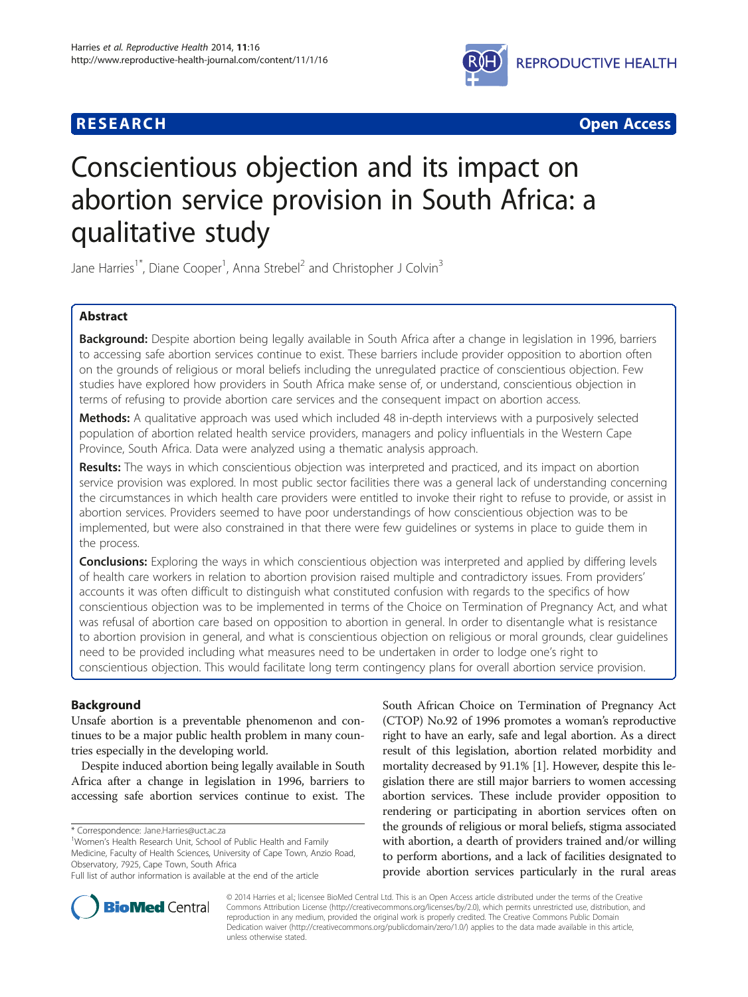



# Conscientious objection and its impact on abortion service provision in South Africa: a qualitative study

Jane Harries<sup>1\*</sup>, Diane Cooper<sup>1</sup>, Anna Strebel<sup>2</sup> and Christopher J Colvin<sup>3</sup>

# Abstract

Background: Despite abortion being legally available in South Africa after a change in legislation in 1996, barriers to accessing safe abortion services continue to exist. These barriers include provider opposition to abortion often on the grounds of religious or moral beliefs including the unregulated practice of conscientious objection. Few studies have explored how providers in South Africa make sense of, or understand, conscientious objection in terms of refusing to provide abortion care services and the consequent impact on abortion access.

**Methods:** A qualitative approach was used which included 48 in-depth interviews with a purposively selected population of abortion related health service providers, managers and policy influentials in the Western Cape Province, South Africa. Data were analyzed using a thematic analysis approach.

Results: The ways in which conscientious objection was interpreted and practiced, and its impact on abortion service provision was explored. In most public sector facilities there was a general lack of understanding concerning the circumstances in which health care providers were entitled to invoke their right to refuse to provide, or assist in abortion services. Providers seemed to have poor understandings of how conscientious objection was to be implemented, but were also constrained in that there were few guidelines or systems in place to guide them in the process.

**Conclusions:** Exploring the ways in which conscientious objection was interpreted and applied by differing levels of health care workers in relation to abortion provision raised multiple and contradictory issues. From providers' accounts it was often difficult to distinguish what constituted confusion with regards to the specifics of how conscientious objection was to be implemented in terms of the Choice on Termination of Pregnancy Act, and what was refusal of abortion care based on opposition to abortion in general. In order to disentangle what is resistance to abortion provision in general, and what is conscientious objection on religious or moral grounds, clear guidelines need to be provided including what measures need to be undertaken in order to lodge one's right to conscientious objection. This would facilitate long term contingency plans for overall abortion service provision.

# **Background**

Unsafe abortion is a preventable phenomenon and continues to be a major public health problem in many countries especially in the developing world.

Despite induced abortion being legally available in South Africa after a change in legislation in 1996, barriers to accessing safe abortion services continue to exist. The

\* Correspondence: [Jane.Harries@uct.ac.za](mailto:Jane.Harries@uct.ac.za) <sup>1</sup>

<sup>1</sup>Women's Health Research Unit, School of Public Health and Family Medicine, Faculty of Health Sciences, University of Cape Town, Anzio Road, Observatory, 7925, Cape Town, South Africa

South African Choice on Termination of Pregnancy Act (CTOP) No.92 of 1996 promotes a woman's reproductive right to have an early, safe and legal abortion. As a direct result of this legislation, abortion related morbidity and mortality decreased by 91.1% [\[1](#page-5-0)]. However, despite this legislation there are still major barriers to women accessing abortion services. These include provider opposition to rendering or participating in abortion services often on the grounds of religious or moral beliefs, stigma associated with abortion, a dearth of providers trained and/or willing to perform abortions, and a lack of facilities designated to provide abortion services particularly in the rural areas



© 2014 Harries et al.; licensee BioMed Central Ltd. This is an Open Access article distributed under the terms of the Creative Commons Attribution License [\(http://creativecommons.org/licenses/by/2.0\)](http://creativecommons.org/licenses/by/2.0), which permits unrestricted use, distribution, and reproduction in any medium, provided the original work is properly credited. The Creative Commons Public Domain Dedication waiver [\(http://creativecommons.org/publicdomain/zero/1.0/](http://creativecommons.org/publicdomain/zero/1.0/)) applies to the data made available in this article, unless otherwise stated.

Full list of author information is available at the end of the article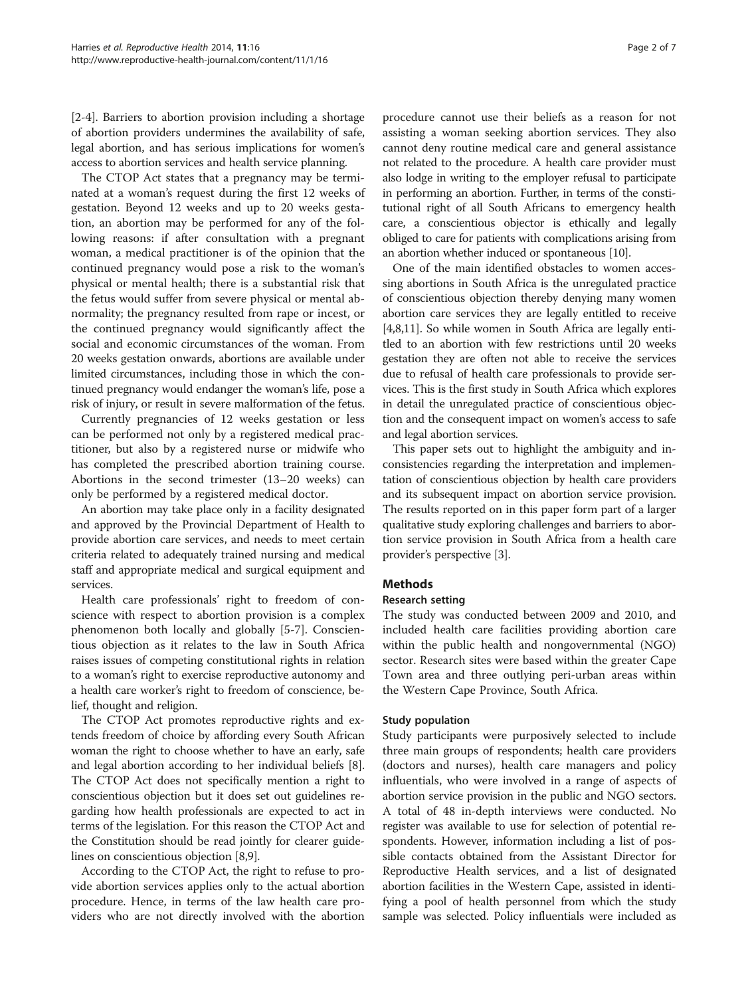[[2-4\]](#page-6-0). Barriers to abortion provision including a shortage of abortion providers undermines the availability of safe, legal abortion, and has serious implications for women's access to abortion services and health service planning.

The CTOP Act states that a pregnancy may be terminated at a woman's request during the first 12 weeks of gestation. Beyond 12 weeks and up to 20 weeks gestation, an abortion may be performed for any of the following reasons: if after consultation with a pregnant woman, a medical practitioner is of the opinion that the continued pregnancy would pose a risk to the woman's physical or mental health; there is a substantial risk that the fetus would suffer from severe physical or mental abnormality; the pregnancy resulted from rape or incest, or the continued pregnancy would significantly affect the social and economic circumstances of the woman. From 20 weeks gestation onwards, abortions are available under limited circumstances, including those in which the continued pregnancy would endanger the woman's life, pose a risk of injury, or result in severe malformation of the fetus.

Currently pregnancies of 12 weeks gestation or less can be performed not only by a registered medical practitioner, but also by a registered nurse or midwife who has completed the prescribed abortion training course. Abortions in the second trimester (13–20 weeks) can only be performed by a registered medical doctor.

An abortion may take place only in a facility designated and approved by the Provincial Department of Health to provide abortion care services, and needs to meet certain criteria related to adequately trained nursing and medical staff and appropriate medical and surgical equipment and services.

Health care professionals' right to freedom of conscience with respect to abortion provision is a complex phenomenon both locally and globally [\[5](#page-6-0)-[7\]](#page-6-0). Conscientious objection as it relates to the law in South Africa raises issues of competing constitutional rights in relation to a woman's right to exercise reproductive autonomy and a health care worker's right to freedom of conscience, belief, thought and religion.

The CTOP Act promotes reproductive rights and extends freedom of choice by affording every South African woman the right to choose whether to have an early, safe and legal abortion according to her individual beliefs [[8](#page-6-0)]. The CTOP Act does not specifically mention a right to conscientious objection but it does set out guidelines regarding how health professionals are expected to act in terms of the legislation. For this reason the CTOP Act and the Constitution should be read jointly for clearer guidelines on conscientious objection [\[8,9](#page-6-0)].

According to the CTOP Act, the right to refuse to provide abortion services applies only to the actual abortion procedure. Hence, in terms of the law health care providers who are not directly involved with the abortion

procedure cannot use their beliefs as a reason for not assisting a woman seeking abortion services. They also cannot deny routine medical care and general assistance not related to the procedure. A health care provider must also lodge in writing to the employer refusal to participate in performing an abortion. Further, in terms of the constitutional right of all South Africans to emergency health care, a conscientious objector is ethically and legally obliged to care for patients with complications arising from an abortion whether induced or spontaneous [\[10\]](#page-6-0).

One of the main identified obstacles to women accessing abortions in South Africa is the unregulated practice of conscientious objection thereby denying many women abortion care services they are legally entitled to receive [[4,8,11](#page-6-0)]. So while women in South Africa are legally entitled to an abortion with few restrictions until 20 weeks gestation they are often not able to receive the services due to refusal of health care professionals to provide services. This is the first study in South Africa which explores in detail the unregulated practice of conscientious objection and the consequent impact on women's access to safe and legal abortion services.

This paper sets out to highlight the ambiguity and inconsistencies regarding the interpretation and implementation of conscientious objection by health care providers and its subsequent impact on abortion service provision. The results reported on in this paper form part of a larger qualitative study exploring challenges and barriers to abortion service provision in South Africa from a health care provider's perspective [[3](#page-6-0)].

# **Methods**

## Research setting

The study was conducted between 2009 and 2010, and included health care facilities providing abortion care within the public health and nongovernmental (NGO) sector. Research sites were based within the greater Cape Town area and three outlying peri-urban areas within the Western Cape Province, South Africa.

#### Study population

Study participants were purposively selected to include three main groups of respondents; health care providers (doctors and nurses), health care managers and policy influentials, who were involved in a range of aspects of abortion service provision in the public and NGO sectors. A total of 48 in-depth interviews were conducted. No register was available to use for selection of potential respondents. However, information including a list of possible contacts obtained from the Assistant Director for Reproductive Health services, and a list of designated abortion facilities in the Western Cape, assisted in identifying a pool of health personnel from which the study sample was selected. Policy influentials were included as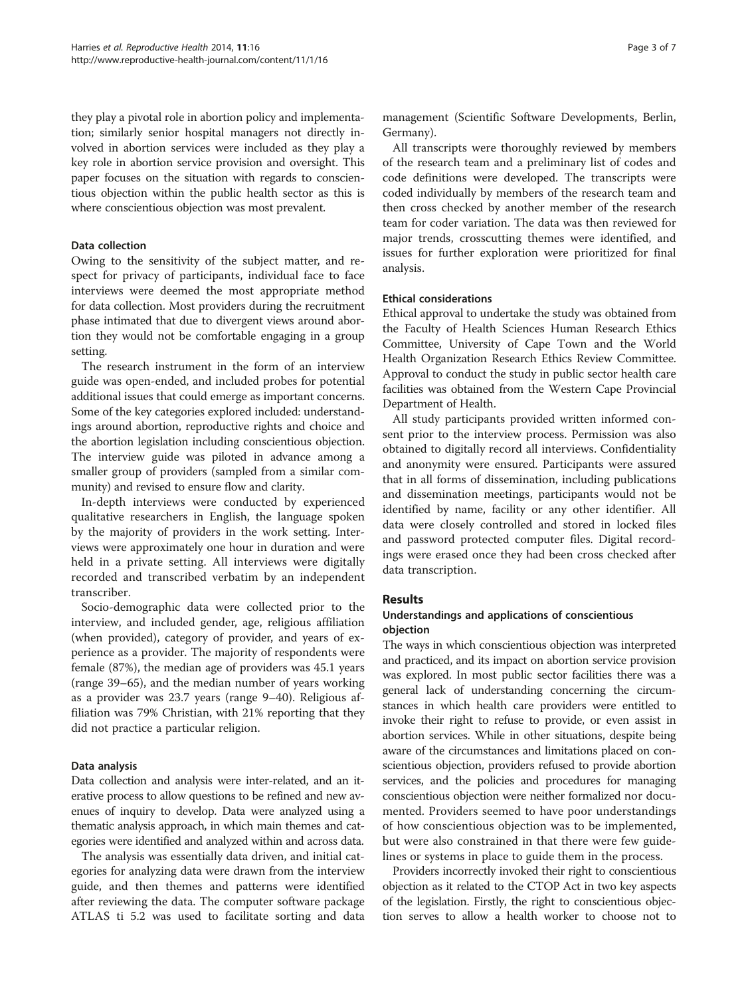they play a pivotal role in abortion policy and implementation; similarly senior hospital managers not directly involved in abortion services were included as they play a key role in abortion service provision and oversight. This paper focuses on the situation with regards to conscientious objection within the public health sector as this is where conscientious objection was most prevalent.

## Data collection

Owing to the sensitivity of the subject matter, and respect for privacy of participants, individual face to face interviews were deemed the most appropriate method for data collection. Most providers during the recruitment phase intimated that due to divergent views around abortion they would not be comfortable engaging in a group setting.

The research instrument in the form of an interview guide was open-ended, and included probes for potential additional issues that could emerge as important concerns. Some of the key categories explored included: understandings around abortion, reproductive rights and choice and the abortion legislation including conscientious objection. The interview guide was piloted in advance among a smaller group of providers (sampled from a similar community) and revised to ensure flow and clarity.

In-depth interviews were conducted by experienced qualitative researchers in English, the language spoken by the majority of providers in the work setting. Interviews were approximately one hour in duration and were held in a private setting. All interviews were digitally recorded and transcribed verbatim by an independent transcriber.

Socio-demographic data were collected prior to the interview, and included gender, age, religious affiliation (when provided), category of provider, and years of experience as a provider. The majority of respondents were female (87%), the median age of providers was 45.1 years (range 39–65), and the median number of years working as a provider was 23.7 years (range 9–40). Religious affiliation was 79% Christian, with 21% reporting that they did not practice a particular religion.

# Data analysis

Data collection and analysis were inter-related, and an iterative process to allow questions to be refined and new avenues of inquiry to develop. Data were analyzed using a thematic analysis approach, in which main themes and categories were identified and analyzed within and across data.

The analysis was essentially data driven, and initial categories for analyzing data were drawn from the interview guide, and then themes and patterns were identified after reviewing the data. The computer software package ATLAS ti 5.2 was used to facilitate sorting and data

management (Scientific Software Developments, Berlin, Germany).

All transcripts were thoroughly reviewed by members of the research team and a preliminary list of codes and code definitions were developed. The transcripts were coded individually by members of the research team and then cross checked by another member of the research team for coder variation. The data was then reviewed for major trends, crosscutting themes were identified, and issues for further exploration were prioritized for final analysis.

## Ethical considerations

Ethical approval to undertake the study was obtained from the Faculty of Health Sciences Human Research Ethics Committee, University of Cape Town and the World Health Organization Research Ethics Review Committee. Approval to conduct the study in public sector health care facilities was obtained from the Western Cape Provincial Department of Health.

All study participants provided written informed consent prior to the interview process. Permission was also obtained to digitally record all interviews. Confidentiality and anonymity were ensured. Participants were assured that in all forms of dissemination, including publications and dissemination meetings, participants would not be identified by name, facility or any other identifier. All data were closely controlled and stored in locked files and password protected computer files. Digital recordings were erased once they had been cross checked after data transcription.

## Results

# Understandings and applications of conscientious objection

The ways in which conscientious objection was interpreted and practiced, and its impact on abortion service provision was explored. In most public sector facilities there was a general lack of understanding concerning the circumstances in which health care providers were entitled to invoke their right to refuse to provide, or even assist in abortion services. While in other situations, despite being aware of the circumstances and limitations placed on conscientious objection, providers refused to provide abortion services, and the policies and procedures for managing conscientious objection were neither formalized nor documented. Providers seemed to have poor understandings of how conscientious objection was to be implemented, but were also constrained in that there were few guidelines or systems in place to guide them in the process.

Providers incorrectly invoked their right to conscientious objection as it related to the CTOP Act in two key aspects of the legislation. Firstly, the right to conscientious objection serves to allow a health worker to choose not to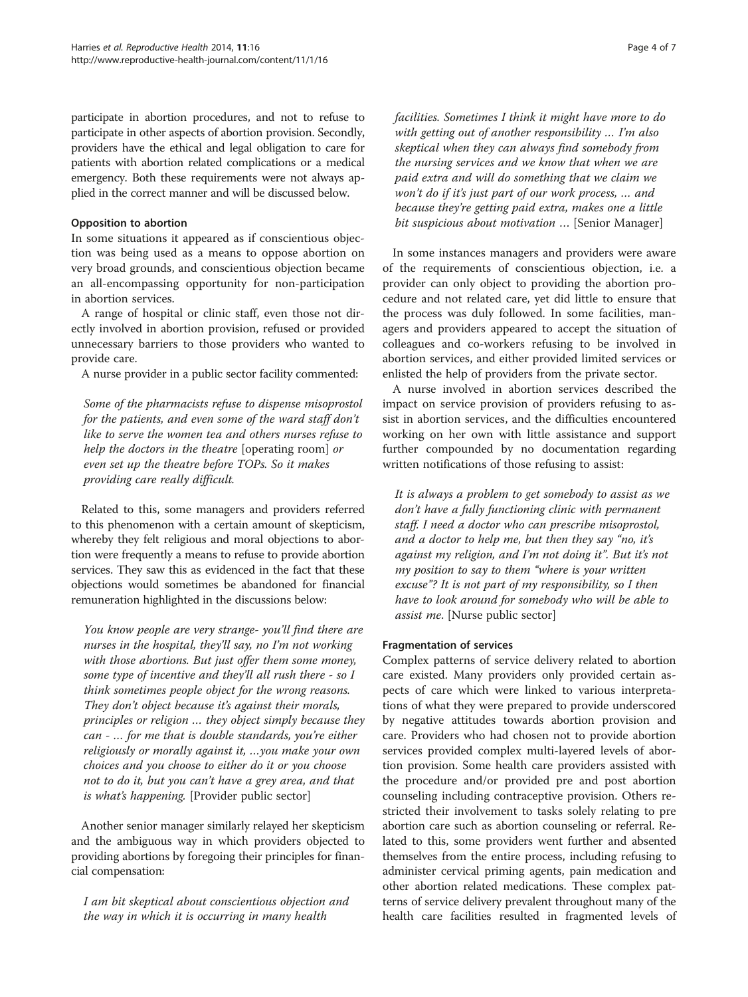participate in abortion procedures, and not to refuse to participate in other aspects of abortion provision. Secondly, providers have the ethical and legal obligation to care for patients with abortion related complications or a medical emergency. Both these requirements were not always applied in the correct manner and will be discussed below.

## Opposition to abortion

In some situations it appeared as if conscientious objection was being used as a means to oppose abortion on very broad grounds, and conscientious objection became an all-encompassing opportunity for non-participation in abortion services.

A range of hospital or clinic staff, even those not directly involved in abortion provision, refused or provided unnecessary barriers to those providers who wanted to provide care.

A nurse provider in a public sector facility commented:

Some of the pharmacists refuse to dispense misoprostol for the patients, and even some of the ward staff don't like to serve the women tea and others nurses refuse to help the doctors in the theatre [operating room] or even set up the theatre before TOPs. So it makes providing care really difficult.

Related to this, some managers and providers referred to this phenomenon with a certain amount of skepticism, whereby they felt religious and moral objections to abortion were frequently a means to refuse to provide abortion services. They saw this as evidenced in the fact that these objections would sometimes be abandoned for financial remuneration highlighted in the discussions below:

You know people are very strange- you'll find there are nurses in the hospital, they'll say, no I'm not working with those abortions. But just offer them some money, some type of incentive and they'll all rush there - so I think sometimes people object for the wrong reasons. They don't object because it's against their morals, principles or religion … they object simply because they can - … for me that is double standards, you're either religiously or morally against it, …you make your own choices and you choose to either do it or you choose not to do it, but you can't have a grey area, and that is what's happening. [Provider public sector]

Another senior manager similarly relayed her skepticism and the ambiguous way in which providers objected to providing abortions by foregoing their principles for financial compensation:

I am bit skeptical about conscientious objection and the way in which it is occurring in many health

facilities. Sometimes I think it might have more to do with getting out of another responsibility … I'm also skeptical when they can always find somebody from the nursing services and we know that when we are paid extra and will do something that we claim we won't do if it's just part of our work process, … and because they're getting paid extra, makes one a little bit suspicious about motivation ... [Senior Manager]

In some instances managers and providers were aware of the requirements of conscientious objection, i.e. a provider can only object to providing the abortion procedure and not related care, yet did little to ensure that the process was duly followed. In some facilities, managers and providers appeared to accept the situation of colleagues and co-workers refusing to be involved in abortion services, and either provided limited services or enlisted the help of providers from the private sector.

A nurse involved in abortion services described the impact on service provision of providers refusing to assist in abortion services, and the difficulties encountered working on her own with little assistance and support further compounded by no documentation regarding written notifications of those refusing to assist:

It is always a problem to get somebody to assist as we don't have a fully functioning clinic with permanent staff. I need a doctor who can prescribe misoprostol, and a doctor to help me, but then they say "no, it's against my religion, and I'm not doing it". But it's not my position to say to them "where is your written excuse"? It is not part of my responsibility, so I then have to look around for somebody who will be able to assist me. [Nurse public sector]

# Fragmentation of services

Complex patterns of service delivery related to abortion care existed. Many providers only provided certain aspects of care which were linked to various interpretations of what they were prepared to provide underscored by negative attitudes towards abortion provision and care. Providers who had chosen not to provide abortion services provided complex multi-layered levels of abortion provision. Some health care providers assisted with the procedure and/or provided pre and post abortion counseling including contraceptive provision. Others restricted their involvement to tasks solely relating to pre abortion care such as abortion counseling or referral. Related to this, some providers went further and absented themselves from the entire process, including refusing to administer cervical priming agents, pain medication and other abortion related medications. These complex patterns of service delivery prevalent throughout many of the health care facilities resulted in fragmented levels of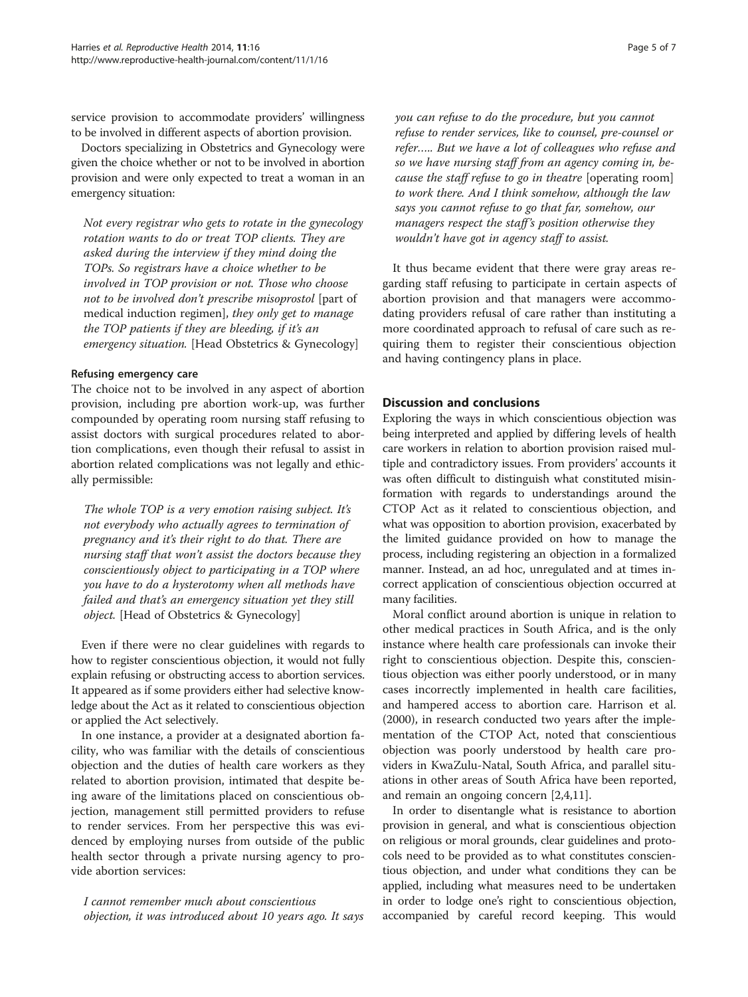service provision to accommodate providers' willingness to be involved in different aspects of abortion provision.

Doctors specializing in Obstetrics and Gynecology were given the choice whether or not to be involved in abortion provision and were only expected to treat a woman in an emergency situation:

Not every registrar who gets to rotate in the gynecology rotation wants to do or treat TOP clients. They are asked during the interview if they mind doing the TOPs. So registrars have a choice whether to be involved in TOP provision or not. Those who choose not to be involved don't prescribe misoprostol [part of medical induction regimen], they only get to manage the TOP patients if they are bleeding, if it's an emergency situation. [Head Obstetrics & Gynecology]

#### Refusing emergency care

The choice not to be involved in any aspect of abortion provision, including pre abortion work-up, was further compounded by operating room nursing staff refusing to assist doctors with surgical procedures related to abortion complications, even though their refusal to assist in abortion related complications was not legally and ethically permissible:

The whole TOP is a very emotion raising subject. It's not everybody who actually agrees to termination of pregnancy and it's their right to do that. There are nursing staff that won't assist the doctors because they conscientiously object to participating in a TOP where you have to do a hysterotomy when all methods have failed and that's an emergency situation yet they still object. [Head of Obstetrics & Gynecology]

Even if there were no clear guidelines with regards to how to register conscientious objection, it would not fully explain refusing or obstructing access to abortion services. It appeared as if some providers either had selective knowledge about the Act as it related to conscientious objection or applied the Act selectively.

In one instance, a provider at a designated abortion facility, who was familiar with the details of conscientious objection and the duties of health care workers as they related to abortion provision, intimated that despite being aware of the limitations placed on conscientious objection, management still permitted providers to refuse to render services. From her perspective this was evidenced by employing nurses from outside of the public health sector through a private nursing agency to provide abortion services:

I cannot remember much about conscientious objection, it was introduced about 10 years ago. It says you can refuse to do the procedure, but you cannot refuse to render services, like to counsel, pre-counsel or refer….. But we have a lot of colleagues who refuse and so we have nursing staff from an agency coming in, because the staff refuse to go in theatre [operating room] to work there. And I think somehow, although the law says you cannot refuse to go that far, somehow, our managers respect the staff's position otherwise they wouldn't have got in agency staff to assist.

It thus became evident that there were gray areas regarding staff refusing to participate in certain aspects of abortion provision and that managers were accommodating providers refusal of care rather than instituting a more coordinated approach to refusal of care such as requiring them to register their conscientious objection and having contingency plans in place.

# Discussion and conclusions

Exploring the ways in which conscientious objection was being interpreted and applied by differing levels of health care workers in relation to abortion provision raised multiple and contradictory issues. From providers' accounts it was often difficult to distinguish what constituted misinformation with regards to understandings around the CTOP Act as it related to conscientious objection, and what was opposition to abortion provision, exacerbated by the limited guidance provided on how to manage the process, including registering an objection in a formalized manner. Instead, an ad hoc, unregulated and at times incorrect application of conscientious objection occurred at many facilities.

Moral conflict around abortion is unique in relation to other medical practices in South Africa, and is the only instance where health care professionals can invoke their right to conscientious objection. Despite this, conscientious objection was either poorly understood, or in many cases incorrectly implemented in health care facilities, and hampered access to abortion care. Harrison et al. (2000), in research conducted two years after the implementation of the CTOP Act, noted that conscientious objection was poorly understood by health care providers in KwaZulu-Natal, South Africa, and parallel situations in other areas of South Africa have been reported, and remain an ongoing concern [[2,4,11\]](#page-6-0).

In order to disentangle what is resistance to abortion provision in general, and what is conscientious objection on religious or moral grounds, clear guidelines and protocols need to be provided as to what constitutes conscientious objection, and under what conditions they can be applied, including what measures need to be undertaken in order to lodge one's right to conscientious objection, accompanied by careful record keeping. This would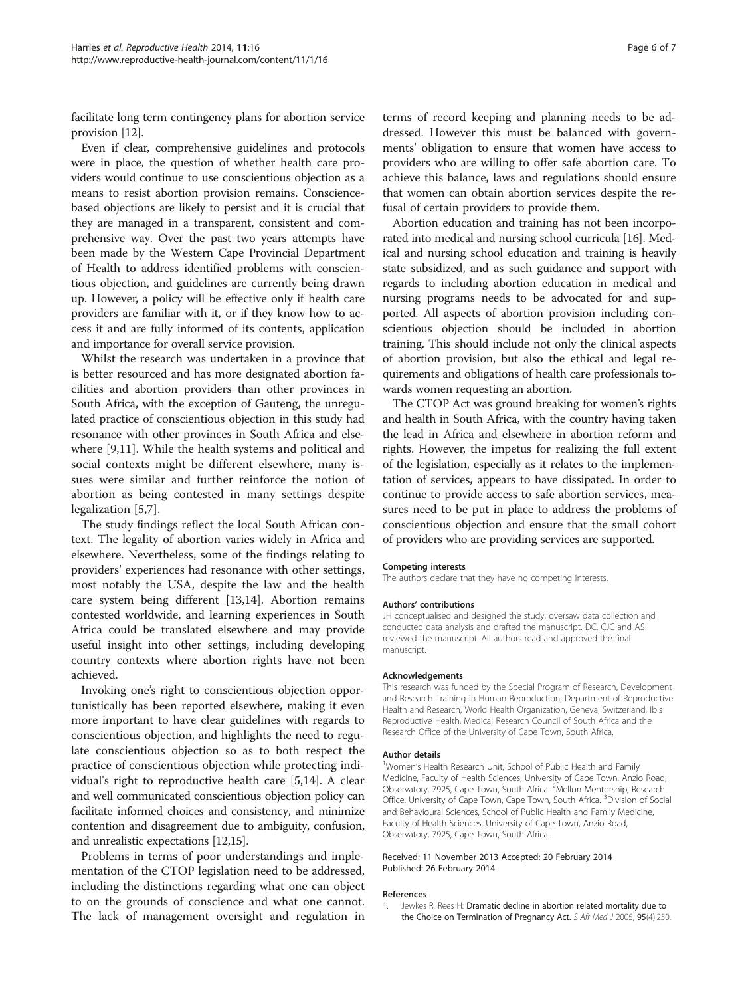<span id="page-5-0"></span>facilitate long term contingency plans for abortion service provision [[12](#page-6-0)].

Even if clear, comprehensive guidelines and protocols were in place, the question of whether health care providers would continue to use conscientious objection as a means to resist abortion provision remains. Consciencebased objections are likely to persist and it is crucial that they are managed in a transparent, consistent and comprehensive way. Over the past two years attempts have been made by the Western Cape Provincial Department of Health to address identified problems with conscientious objection, and guidelines are currently being drawn up. However, a policy will be effective only if health care providers are familiar with it, or if they know how to access it and are fully informed of its contents, application and importance for overall service provision.

Whilst the research was undertaken in a province that is better resourced and has more designated abortion facilities and abortion providers than other provinces in South Africa, with the exception of Gauteng, the unregulated practice of conscientious objection in this study had resonance with other provinces in South Africa and elsewhere [[9,11](#page-6-0)]. While the health systems and political and social contexts might be different elsewhere, many issues were similar and further reinforce the notion of abortion as being contested in many settings despite legalization [[5,7](#page-6-0)].

The study findings reflect the local South African context. The legality of abortion varies widely in Africa and elsewhere. Nevertheless, some of the findings relating to providers' experiences had resonance with other settings, most notably the USA, despite the law and the health care system being different [\[13,14\]](#page-6-0). Abortion remains contested worldwide, and learning experiences in South Africa could be translated elsewhere and may provide useful insight into other settings, including developing country contexts where abortion rights have not been achieved.

Invoking one's right to conscientious objection opportunistically has been reported elsewhere, making it even more important to have clear guidelines with regards to conscientious objection, and highlights the need to regulate conscientious objection so as to both respect the practice of conscientious objection while protecting individual's right to reproductive health care [\[5,14](#page-6-0)]. A clear and well communicated conscientious objection policy can facilitate informed choices and consistency, and minimize contention and disagreement due to ambiguity, confusion, and unrealistic expectations [\[12,15\]](#page-6-0).

Problems in terms of poor understandings and implementation of the CTOP legislation need to be addressed, including the distinctions regarding what one can object to on the grounds of conscience and what one cannot. The lack of management oversight and regulation in

terms of record keeping and planning needs to be addressed. However this must be balanced with governments' obligation to ensure that women have access to providers who are willing to offer safe abortion care. To achieve this balance, laws and regulations should ensure that women can obtain abortion services despite the refusal of certain providers to provide them.

Abortion education and training has not been incorporated into medical and nursing school curricula [\[16\]](#page-6-0). Medical and nursing school education and training is heavily state subsidized, and as such guidance and support with regards to including abortion education in medical and nursing programs needs to be advocated for and supported. All aspects of abortion provision including conscientious objection should be included in abortion training. This should include not only the clinical aspects of abortion provision, but also the ethical and legal requirements and obligations of health care professionals towards women requesting an abortion.

The CTOP Act was ground breaking for women's rights and health in South Africa, with the country having taken the lead in Africa and elsewhere in abortion reform and rights. However, the impetus for realizing the full extent of the legislation, especially as it relates to the implementation of services, appears to have dissipated. In order to continue to provide access to safe abortion services, measures need to be put in place to address the problems of conscientious objection and ensure that the small cohort of providers who are providing services are supported.

#### Competing interests

The authors declare that they have no competing interests.

#### Authors' contributions

JH conceptualised and designed the study, oversaw data collection and conducted data analysis and drafted the manuscript. DC, CJC and AS reviewed the manuscript. All authors read and approved the final manuscript.

#### Acknowledgements

This research was funded by the Special Program of Research, Development and Research Training in Human Reproduction, Department of Reproductive Health and Research, World Health Organization, Geneva, Switzerland, Ibis Reproductive Health, Medical Research Council of South Africa and the Research Office of the University of Cape Town, South Africa.

#### Author details

<sup>1</sup>Women's Health Research Unit, School of Public Health and Family Medicine, Faculty of Health Sciences, University of Cape Town, Anzio Road, Observatory, 7925, Cape Town, South Africa. <sup>2</sup>Mellon Mentorship, Research Office, University of Cape Town, Cape Town, South Africa. <sup>3</sup> Division of Social and Behavioural Sciences, School of Public Health and Family Medicine, Faculty of Health Sciences, University of Cape Town, Anzio Road, Observatory, 7925, Cape Town, South Africa.

#### Received: 11 November 2013 Accepted: 20 February 2014 Published: 26 February 2014

#### References

1. Jewkes R, Rees H: Dramatic decline in abortion related mortality due to the Choice on Termination of Pregnancy Act. S Afr Med J 2005, 95(4):250.